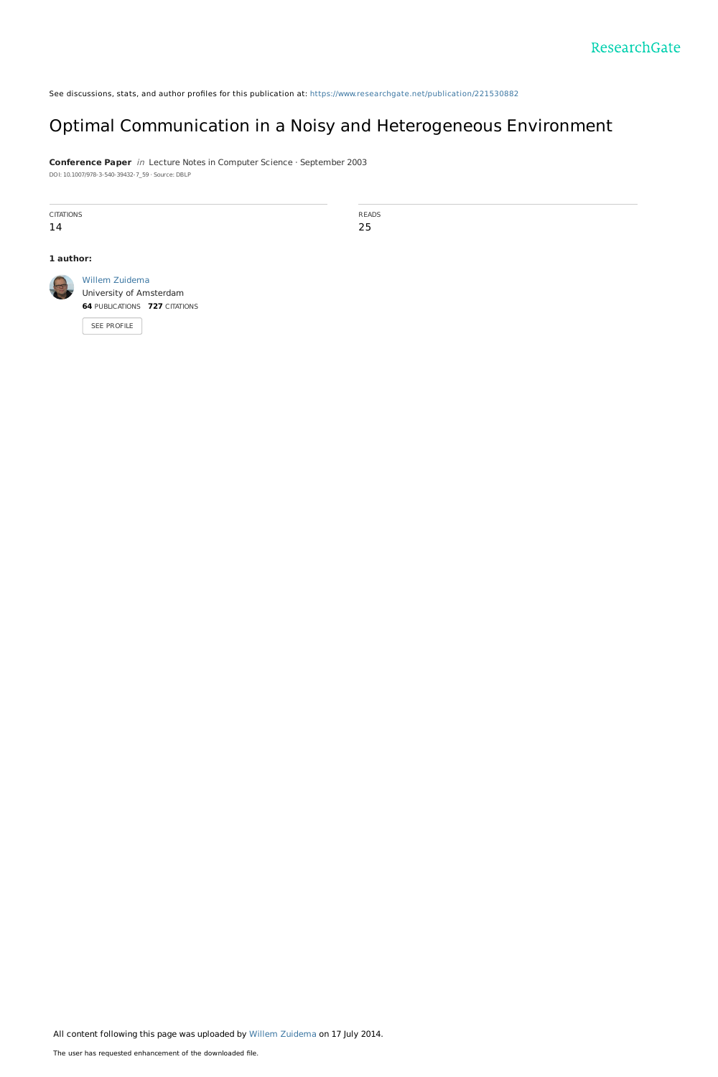See discussions, stats, and author profiles for this publication at: [https://www.researchgate.net/publication/221530882](https://www.researchgate.net/publication/221530882_Optimal_Communication_in_a_Noisy_and_Heterogeneous_Environment?enrichId=rgreq-72f09ee1728a94b6f646830d09dac4fb-XXX&enrichSource=Y292ZXJQYWdlOzIyMTUzMDg4MjtBUzoxMTk5MjU4MzAwNjYxNzZAMTQwNTYwMzk1NDAyNA%3D%3D&el=1_x_2&_esc=publicationCoverPdf)

#### Optimal [Communication](https://www.researchgate.net/publication/221530882_Optimal_Communication_in_a_Noisy_and_Heterogeneous_Environment?enrichId=rgreq-72f09ee1728a94b6f646830d09dac4fb-XXX&enrichSource=Y292ZXJQYWdlOzIyMTUzMDg4MjtBUzoxMTk5MjU4MzAwNjYxNzZAMTQwNTYwMzk1NDAyNA%3D%3D&el=1_x_3&_esc=publicationCoverPdf) in a Noisy and Heterogeneous Environment

**Conference Paper** in Lecture Notes in Computer Science · September 2003 DOI: 10.1007/978-3-540-39432-7\_59 · Source: DBLP

**CITATIONS** 14

READS 25

#### **1 author:**



Willem [Zuidema](https://www.researchgate.net/profile/Willem_Zuidema?enrichId=rgreq-72f09ee1728a94b6f646830d09dac4fb-XXX&enrichSource=Y292ZXJQYWdlOzIyMTUzMDg4MjtBUzoxMTk5MjU4MzAwNjYxNzZAMTQwNTYwMzk1NDAyNA%3D%3D&el=1_x_5&_esc=publicationCoverPdf) University of [Amsterdam](https://www.researchgate.net/institution/University_of_Amsterdam?enrichId=rgreq-72f09ee1728a94b6f646830d09dac4fb-XXX&enrichSource=Y292ZXJQYWdlOzIyMTUzMDg4MjtBUzoxMTk5MjU4MzAwNjYxNzZAMTQwNTYwMzk1NDAyNA%3D%3D&el=1_x_6&_esc=publicationCoverPdf) **64** PUBLICATIONS **727** CITATIONS

SEE [PROFILE](https://www.researchgate.net/profile/Willem_Zuidema?enrichId=rgreq-72f09ee1728a94b6f646830d09dac4fb-XXX&enrichSource=Y292ZXJQYWdlOzIyMTUzMDg4MjtBUzoxMTk5MjU4MzAwNjYxNzZAMTQwNTYwMzk1NDAyNA%3D%3D&el=1_x_7&_esc=publicationCoverPdf)

All content following this page was uploaded by Willem [Zuidema](https://www.researchgate.net/profile/Willem_Zuidema?enrichId=rgreq-72f09ee1728a94b6f646830d09dac4fb-XXX&enrichSource=Y292ZXJQYWdlOzIyMTUzMDg4MjtBUzoxMTk5MjU4MzAwNjYxNzZAMTQwNTYwMzk1NDAyNA%3D%3D&el=1_x_10&_esc=publicationCoverPdf) on 17 July 2014.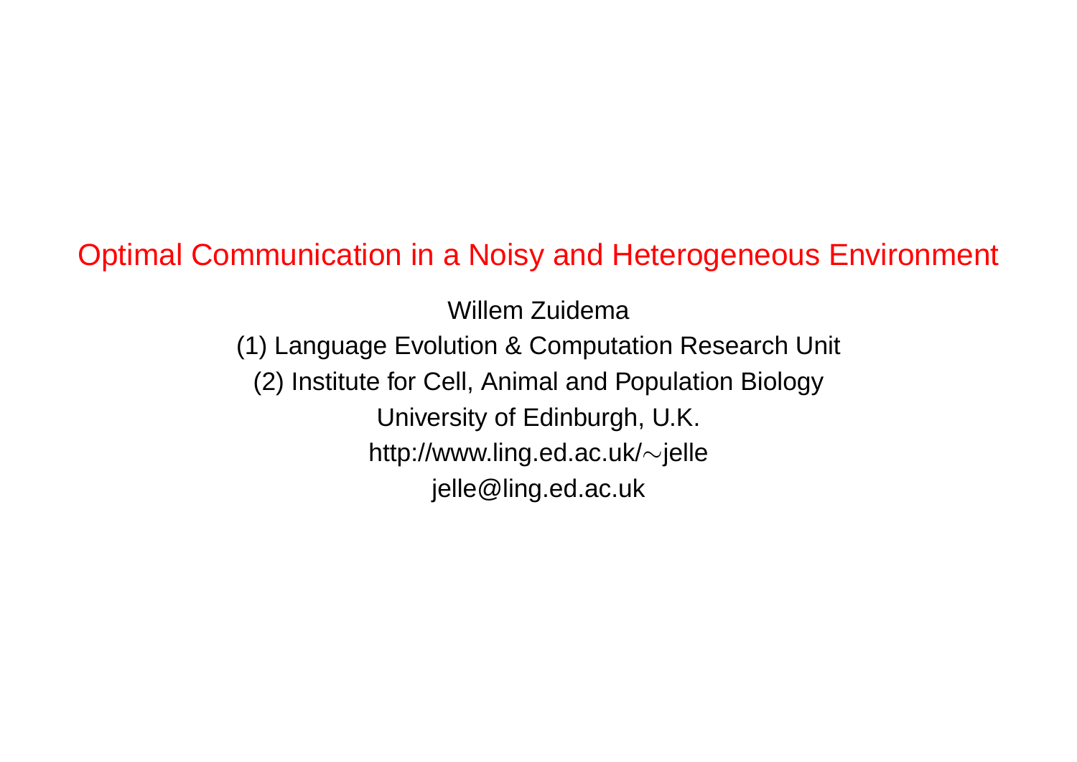# Optimal Communication in a Noisy and Heterogeneous Environment

Willem Zuidema (1) Language Evolution & Computation Research Unit (2) Institute for Cell, Animal and Population Biology University of Edinburgh, U.K. http://www.ling.ed.ac.uk/∼jelle jelle@ling.ed.ac.uk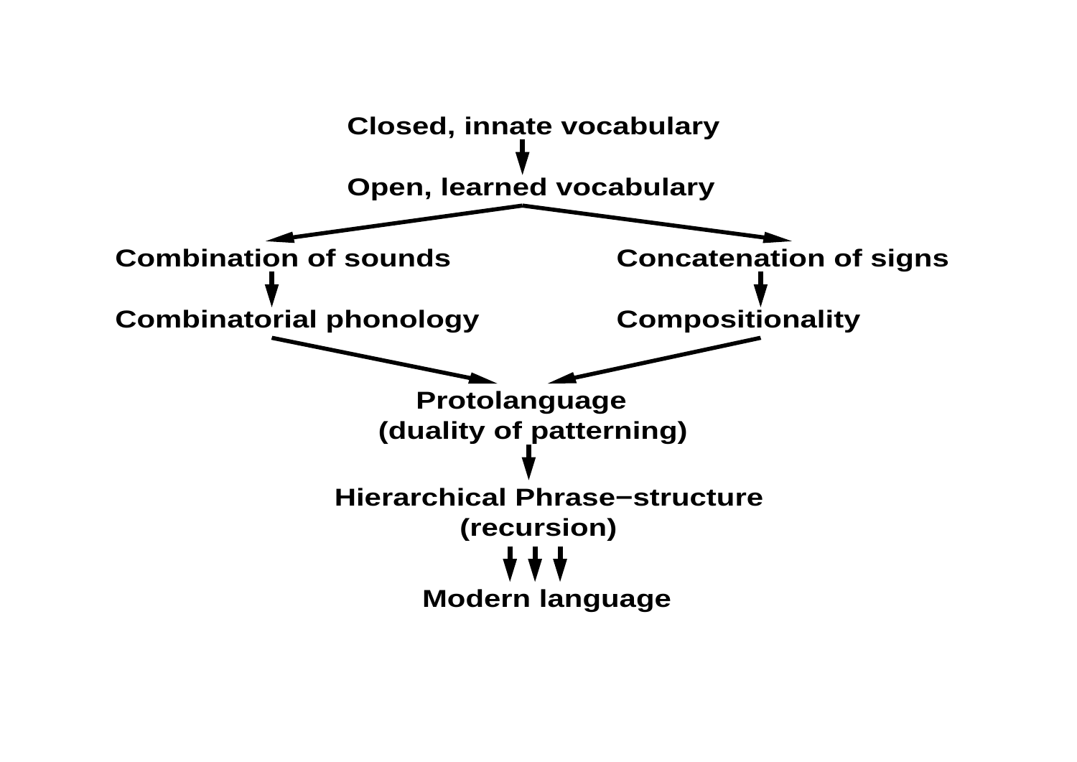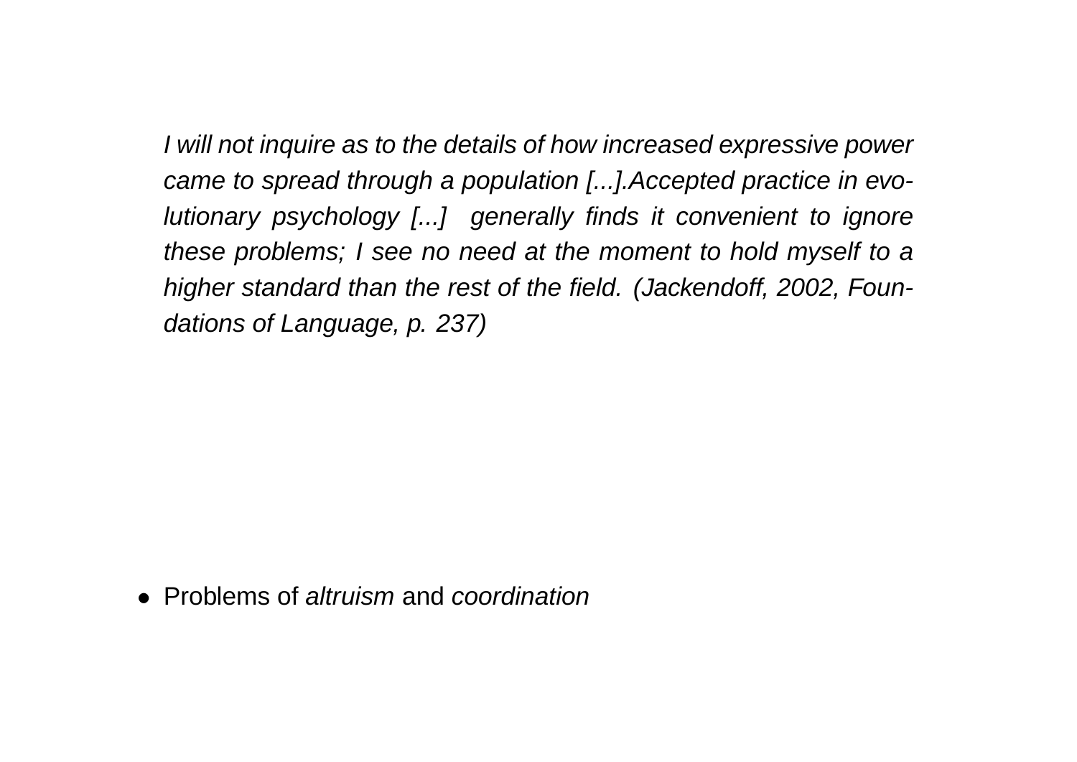I will not inquire as to the details of how increased expressive power came to spread through a population [...].Accepted practice in evolutionary psychology [...] generally finds it convenient to ignore these problems; I see no need at the moment to hold myself to a higher standard than the rest of the field. (Jackendoff, 2002, Foundations of Language, p. 237)

• Problems of *altruism* and *coordination*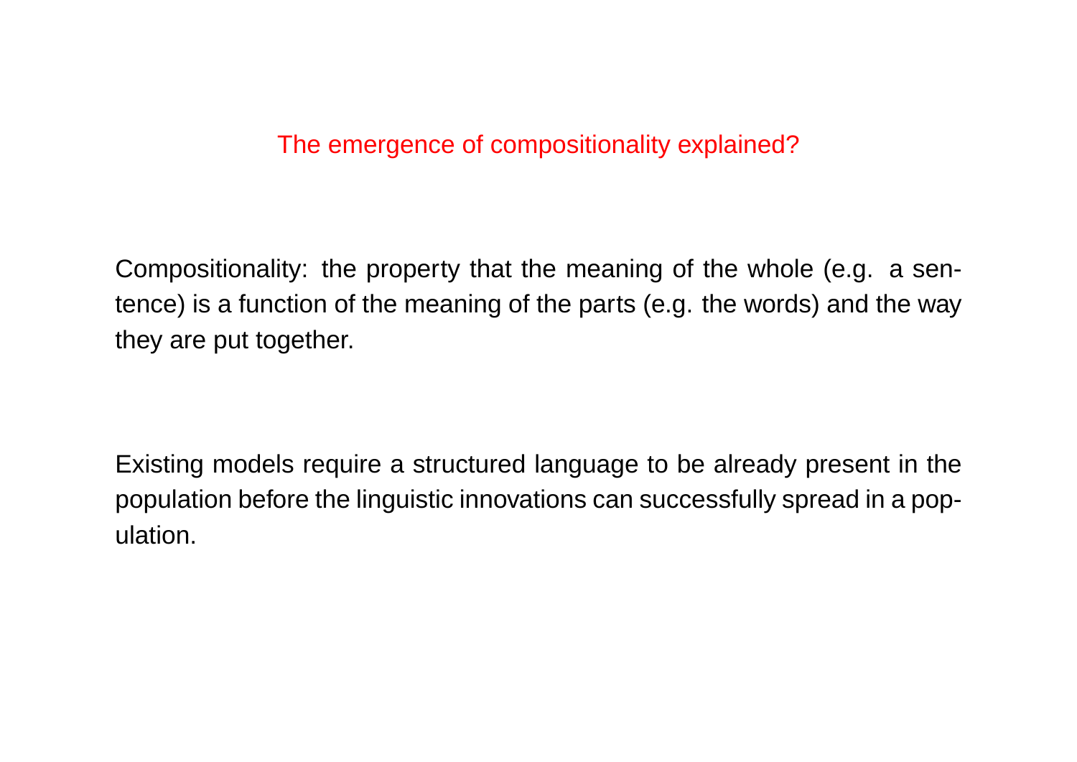#### The emergence of compositionality explained?

Compositionality: the property that the meaning of the whole (e.g. a sentence) is a function of the meaning of the parts (e.g. the words) and the way they are put together.

Existing models require a structured language to be already present in the population before the linguistic innovations can successfully spread in a population.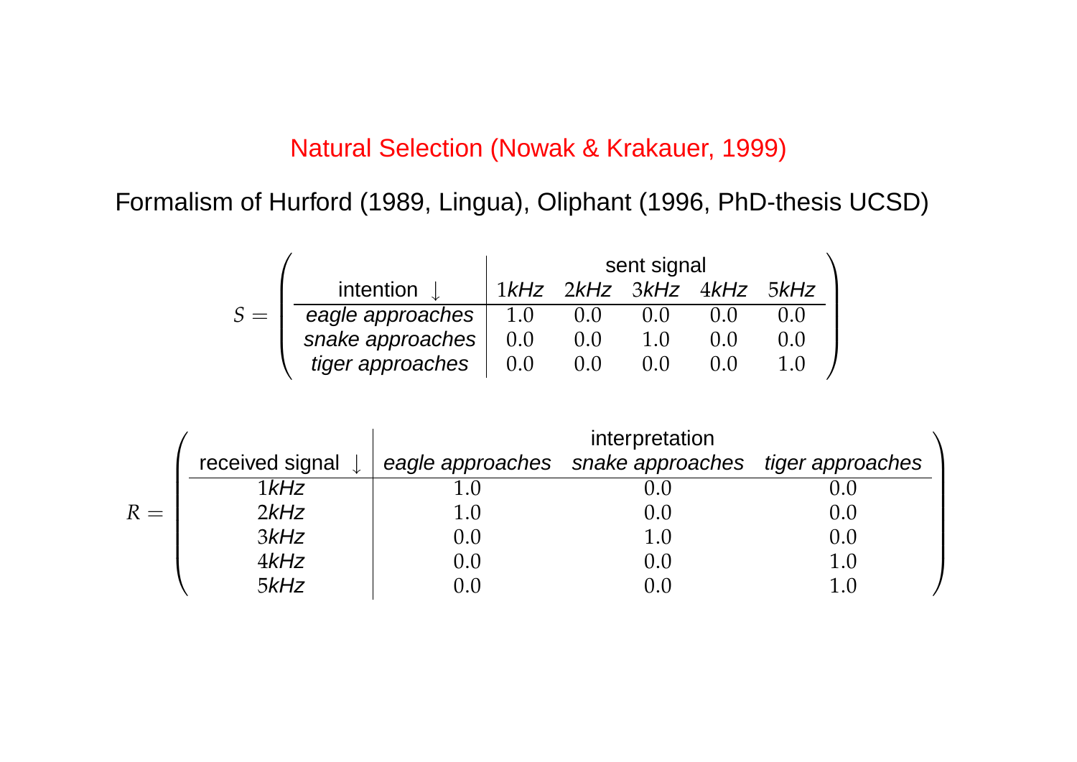#### Natural Selection (Nowak & Krakauer, 1999)

Formalism of Hurford (1989, Lingua), Oliphant (1996, PhD-thesis UCSD)

|       |                   | sent signal |     |                          |  |       |  |
|-------|-------------------|-------------|-----|--------------------------|--|-------|--|
|       | intention $\perp$ |             |     | 1kHz 2kHz 3kHz 4kHz 5kHz |  |       |  |
| $S =$ | eagle approaches  | 1.0         | 0.0 | 0.0                      |  |       |  |
|       | snake approaches  | 0.0         | 0.0 | 1.0                      |  | (0,0) |  |
|       | tiger approaches  | 0.0         | 0.0 | 0.0                      |  |       |  |

|       |                 | interpretation |                                                    |  |  |  |  |
|-------|-----------------|----------------|----------------------------------------------------|--|--|--|--|
|       | received signal |                | eagle approaches snake approaches tiger approaches |  |  |  |  |
|       | $1$ $kHz$       |                |                                                    |  |  |  |  |
| $R =$ | 2kHz            |                | 0.0                                                |  |  |  |  |
|       | 3kHz            | 0.0            | $1.0\,$                                            |  |  |  |  |
|       | 4kHz            | 0.0            | 0.0                                                |  |  |  |  |
|       | 5kHz            |                | 0.0                                                |  |  |  |  |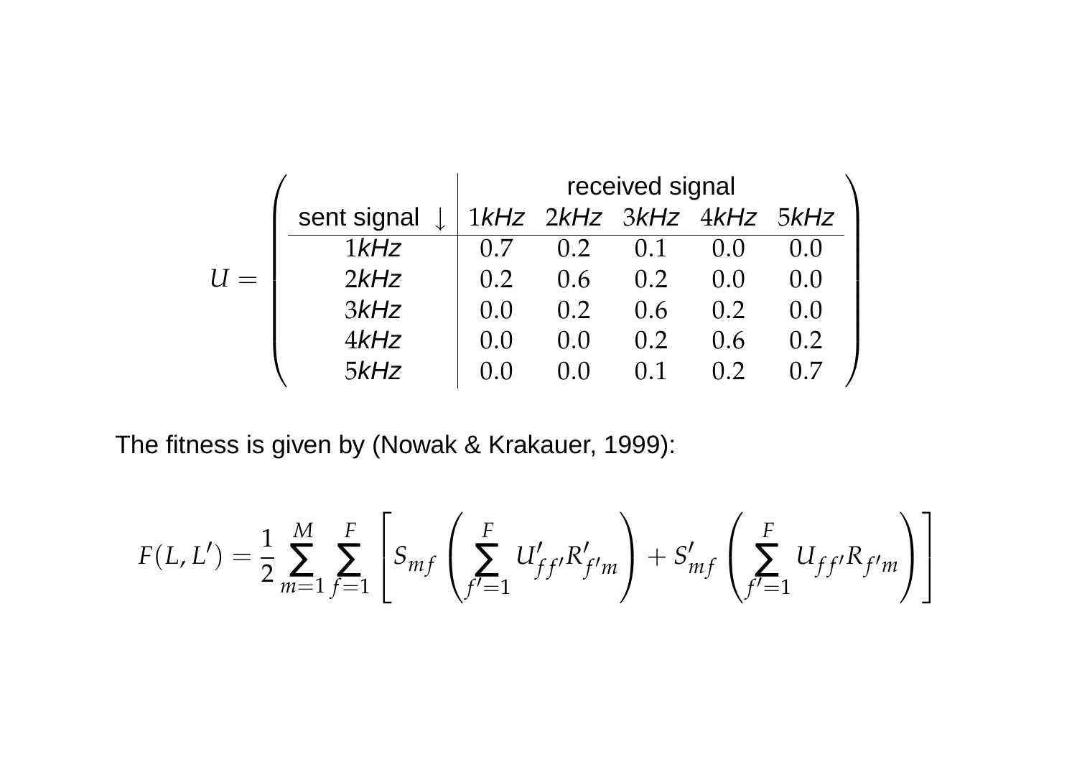|             | received signal |                  |                          |     |       |  |
|-------------|-----------------|------------------|--------------------------|-----|-------|--|
| sent signal |                 |                  | 1kHz 2kHz 3kHz 4kHz 5kHz |     |       |  |
| $1$ $kHz$   | 0.7             | 0.2 <sub>1</sub> | 0.1                      | 0.0 |       |  |
| 2kHz        | 0.2             | 0.6              | 0.2                      | 0.0 | (1.0) |  |
| 3kHz        | 0.0             | 0.2              | 0.6                      | 0.2 | (1.0) |  |
| $4$ kHz     | (0.0)           | (1.0)            | 0.2                      | 0.6 | 0.2   |  |
| 5kHz        | $( )_{.} ( )$   |                  | 0.1                      |     |       |  |

The fitness is given by (Nowak & Krakauer, 1999):

$$
F(L, L') = \frac{1}{2} \sum_{m=1}^{M} \sum_{f=1}^{F} \left[ S_{mf} \left( \sum_{f'=1}^{F} U'_{ff'} R'_{f'm} \right) + S'_{mf} \left( \sum_{f'=1}^{F} U_{ff'} R_{f'm} \right) \right]
$$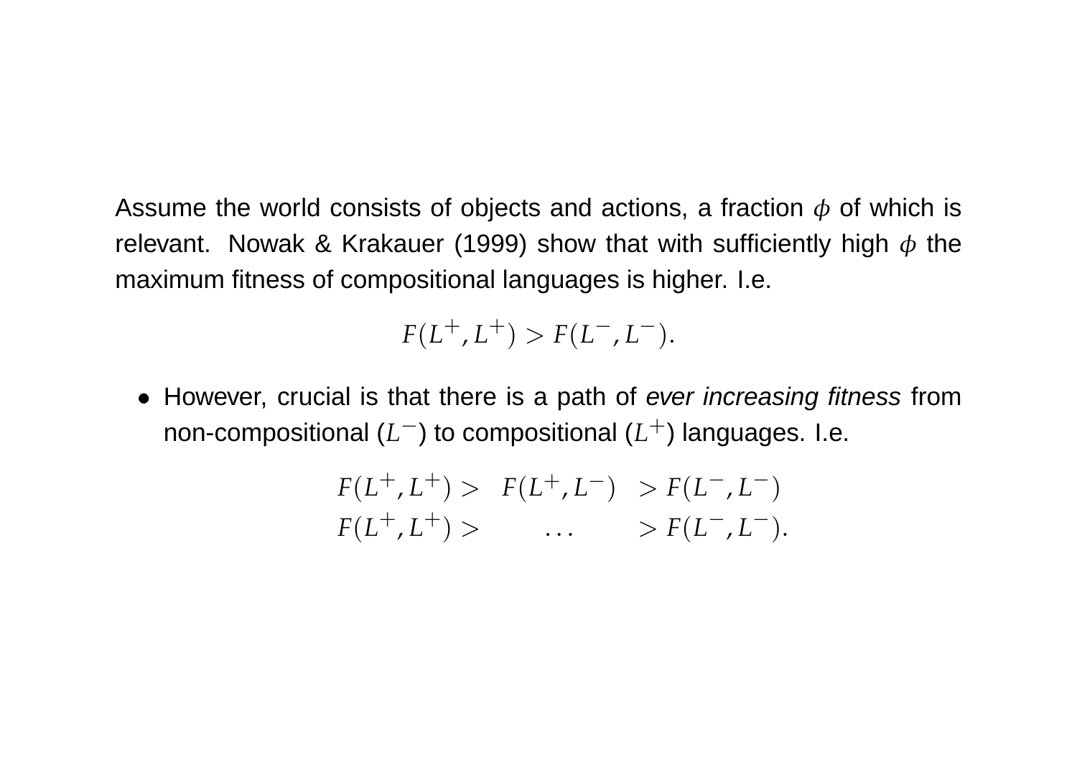Assume the world consists of objects and actions, a fraction  $\phi$  of which is relevant. Nowak & Krakauer (1999) show that with sufficiently high  $\phi$  the maximum fitness of compositional languages is higher. I.e.

 $F(L^+, L^+) > F(L^-, L^-).$ 

• However, crucial is that there is a path of ever increasing fitness from non-compositional (L<sup>−</sup>) to compositional (L<sup>+</sup>) languages. I.e.

$$
F(L^+, L^+) > F(L^+, L^-) > F(L^-, L^-)
$$
  

$$
F(L^+, L^+) > \dots > F(L^-, L^-).
$$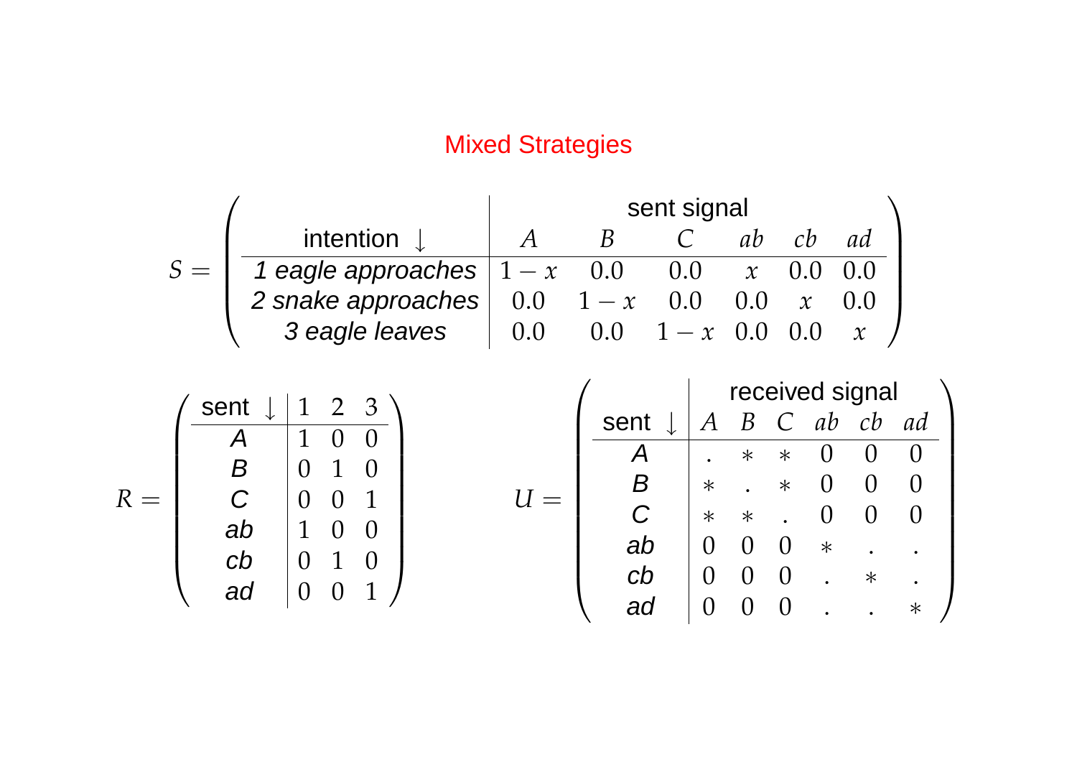## Mixed Strategies

|                                           |     | sent signal               |                           |     |                    |    |  |
|-------------------------------------------|-----|---------------------------|---------------------------|-----|--------------------|----|--|
| intention $\downarrow$                    |     |                           |                           |     |                    | ad |  |
| 1 eagle approaches $1 - x \overline{0.0}$ |     |                           | $0.0\,$                   |     | $\mathbf{x} = 0.0$ |    |  |
| 2 snake approaches                        |     | $0.0 \quad 1-x \quad 0.0$ |                           | 0.0 |                    |    |  |
| 3 eagle leaves                            | 0.0 |                           | $0.0 \quad 1-x \quad 0.0$ |     |                    |    |  |

|   | sent | $\mathbf{1}$ | $\mathcal{P}$ | ′┙ |
|---|------|--------------|---------------|----|
|   |      | $\mathbf{1}$ |               |    |
|   |      |              |               |    |
| R | C    |              |               |    |
|   | ab   | 1            |               |    |
|   | cb   |              |               |    |
|   | ad   |              |               |    |

$$
U = \left(\begin{array}{c|cccc} \text{sent} & \downarrow & A & B & C & ab & cb & ad \\ \hline A & . & * & * & 0 & 0 & 0 \\ B & * & . & * & 0 & 0 & 0 \\ C & * & * & . & 0 & 0 & 0 \\ ab & 0 & 0 & 0 & * & . & . \\ cb & 0 & 0 & 0 & . & * & . \\ ad & 0 & 0 & 0 & . & . & * \end{array}\right)
$$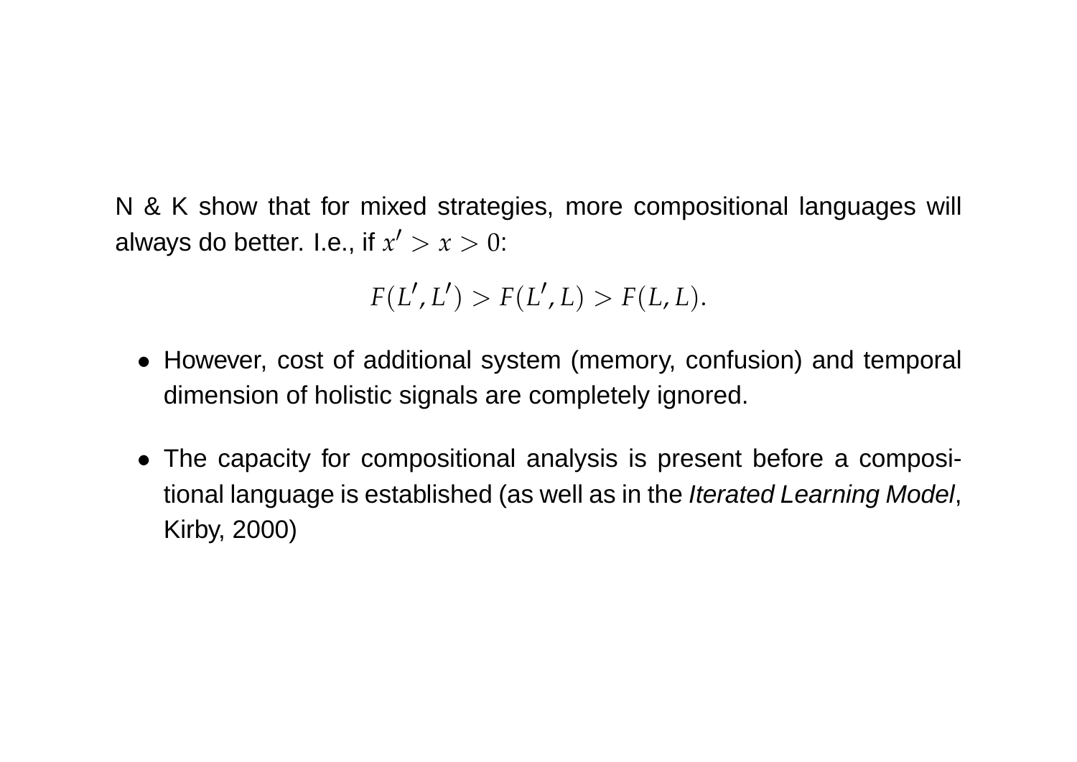N & K show that for mixed strategies, more compositional languages will always do better. I.e., if  $x' > x > 0$ :

$$
F(L',L') > F(L',L) > F(L,L).
$$

- However, cost of additional system (memory, confusion) and temporal dimension of holistic signals are completely ignored.
- The capacity for compositional analysis is present before a compositional language is established (as well as in the *Iterated Learning Model*, Kirby, 2000)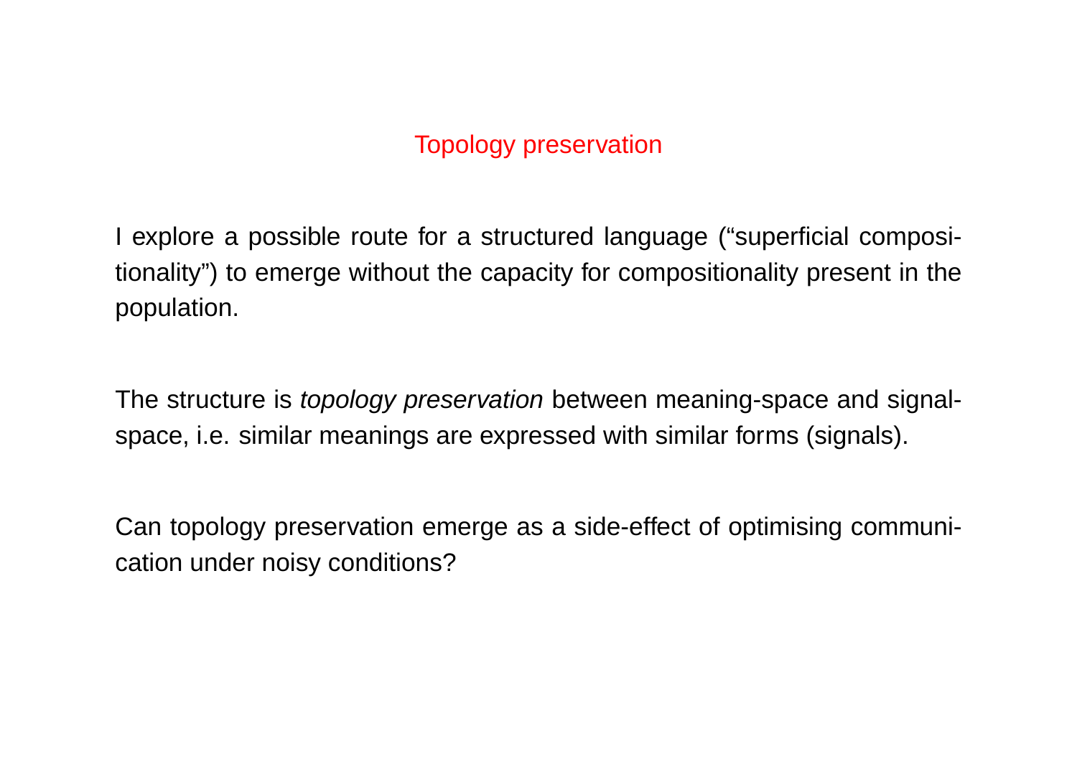#### Topology preservation

I explore a possible route for a structured language ("superficial compositionality") to emerge without the capacity for compositionality present in the population.

The structure is *topology preservation* between meaning-space and signalspace, i.e. similar meanings are expressed with similar forms (signals).

Can topology preservation emerge as a side-effect of optimising communication under noisy conditions?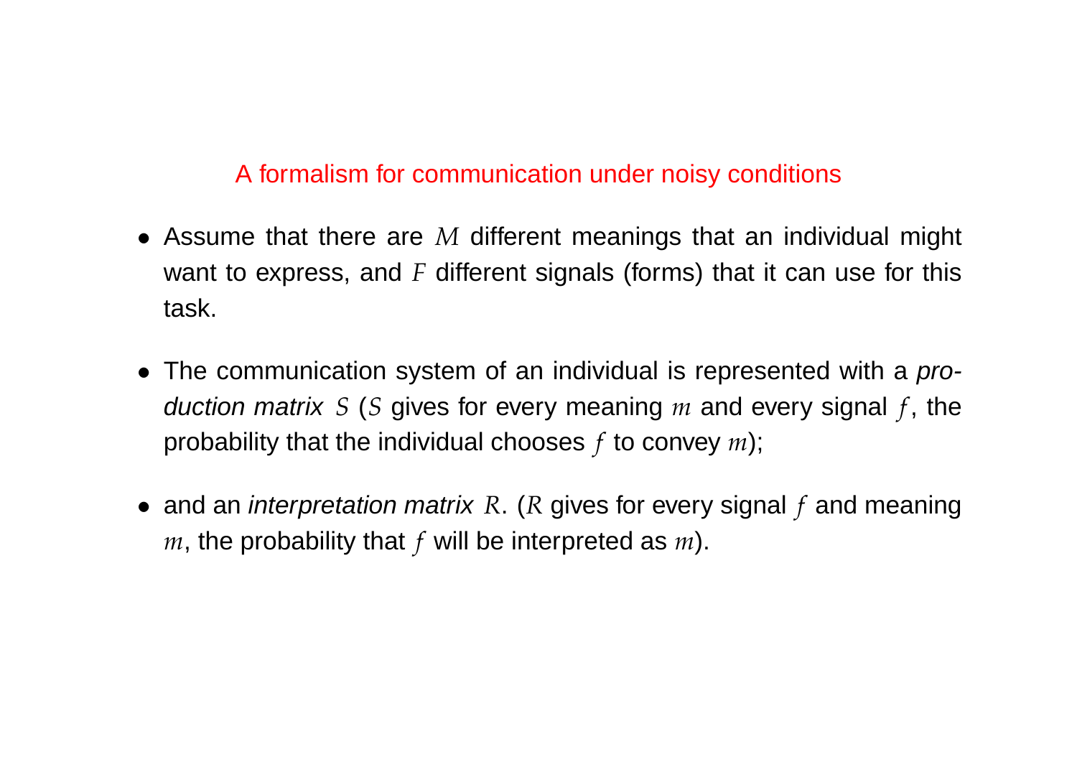#### A formalism for communication under noisy conditions

- Assume that there are *M* different meanings that an individual might want to express, and *F* different signals (forms) that it can use for this task.
- The communication system of an individual is represented with a production matrix *S* (*S* gives for every meaning *m* and every signal *f* , the probability that the individual chooses *f* to convey *m*);
- and an interpretation matrix *R*. (*R* gives for every signal *f* and meaning *m*, the probability that *f* will be interpreted as *m*).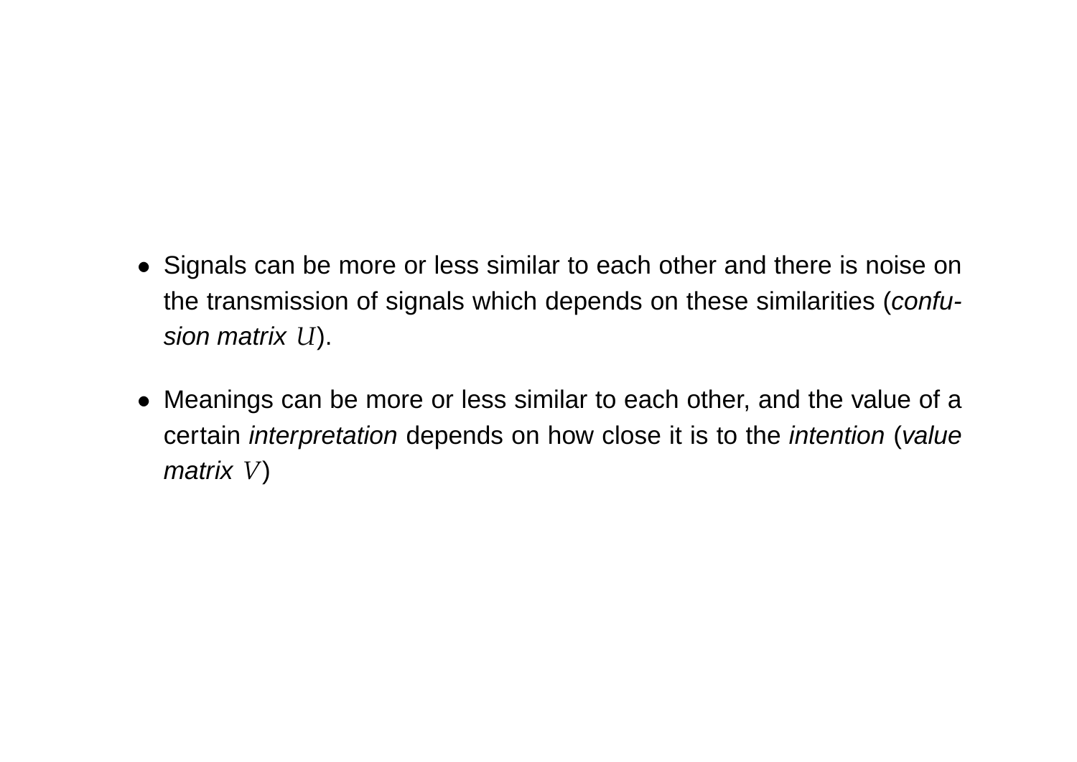- Signals can be more or less similar to each other and there is noise on the transmission of signals which depends on these similarities (confusion matrix *U*).
- Meanings can be more or less similar to each other, and the value of a certain interpretation depends on how close it is to the intention (value matrix *V*)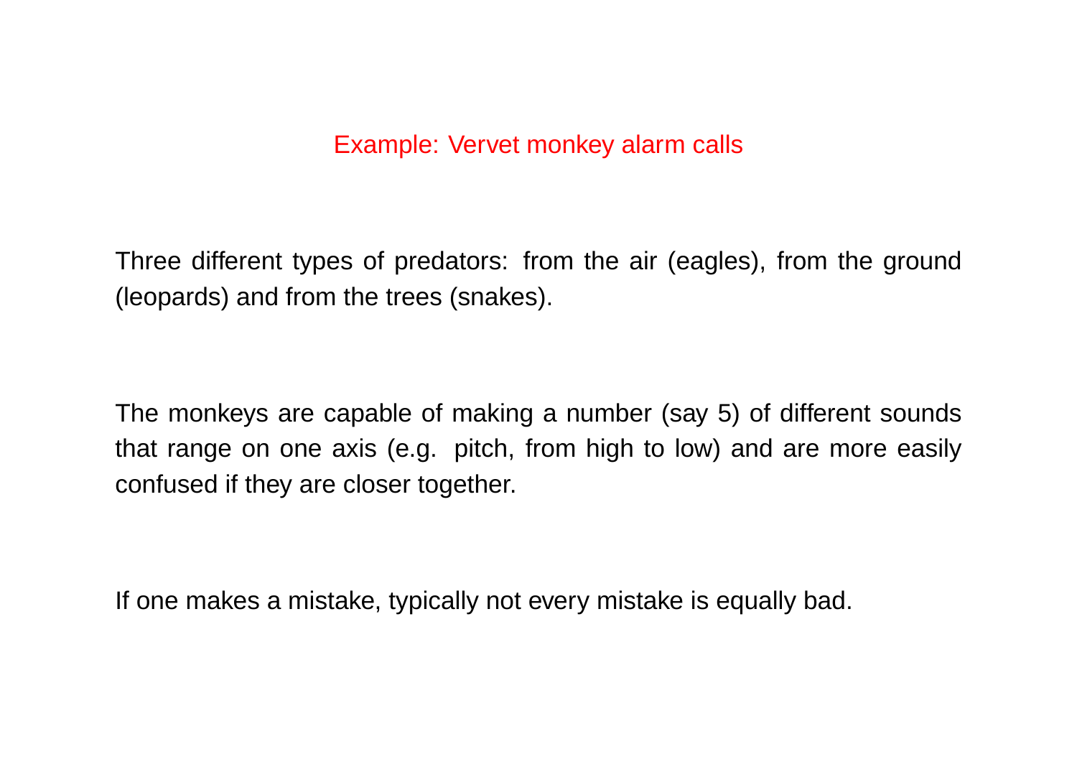#### Example: Vervet monkey alarm calls

Three different types of predators: from the air (eagles), from the ground (leopards) and from the trees (snakes).

The monkeys are capable of making a number (say 5) of different sounds that range on one axis (e.g. pitch, from high to low) and are more easily confused if they are closer together.

If one makes a mistake, typically not every mistake is equally bad.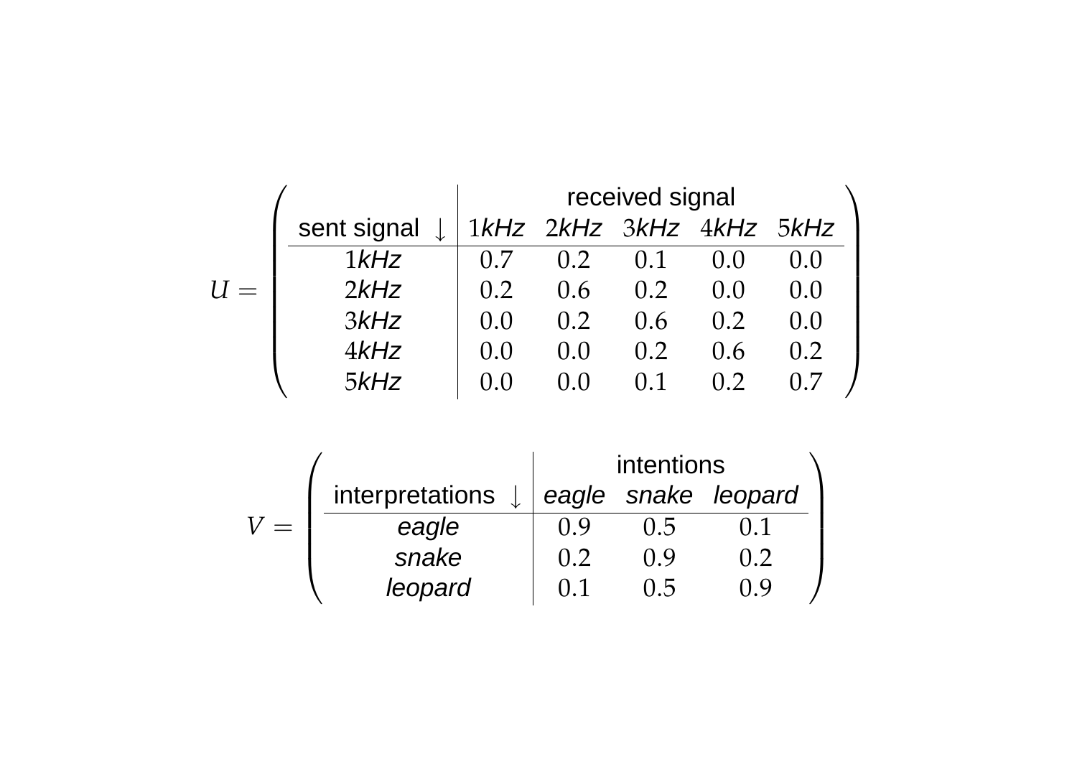|       |             | received signal |       |     |                          |       |  |
|-------|-------------|-----------------|-------|-----|--------------------------|-------|--|
|       | sent signal |                 |       |     | 1kHz 2kHz 3kHz 4kHz 5kHz |       |  |
|       | $1$ $kHz$   | 0.7             | 0.2   | 0.1 | 0.0                      |       |  |
| $U =$ | 2kHz        | 0.2             | 0.6   | 0.2 | 0.0                      | (1.0) |  |
|       | 3kHz        | 0.0             | 0.2   | 0.6 | 0.2                      | 0.0   |  |
|       | 4kHz        | 0.0             | (1.0) | 0.2 | 0.6                      | 0.2   |  |
|       | 5kHz        |                 |       |     | 0.2                      |       |  |

|                 | intentions |      |                     |  |  |
|-----------------|------------|------|---------------------|--|--|
| interpretations |            |      | eagle snake leopard |  |  |
| eagle           | 0 Q        | 0.5  |                     |  |  |
| snake           | 0.2        | () 9 | Ո 2                 |  |  |
| leopard         | 0. T       | 11 5 | ) Y                 |  |  |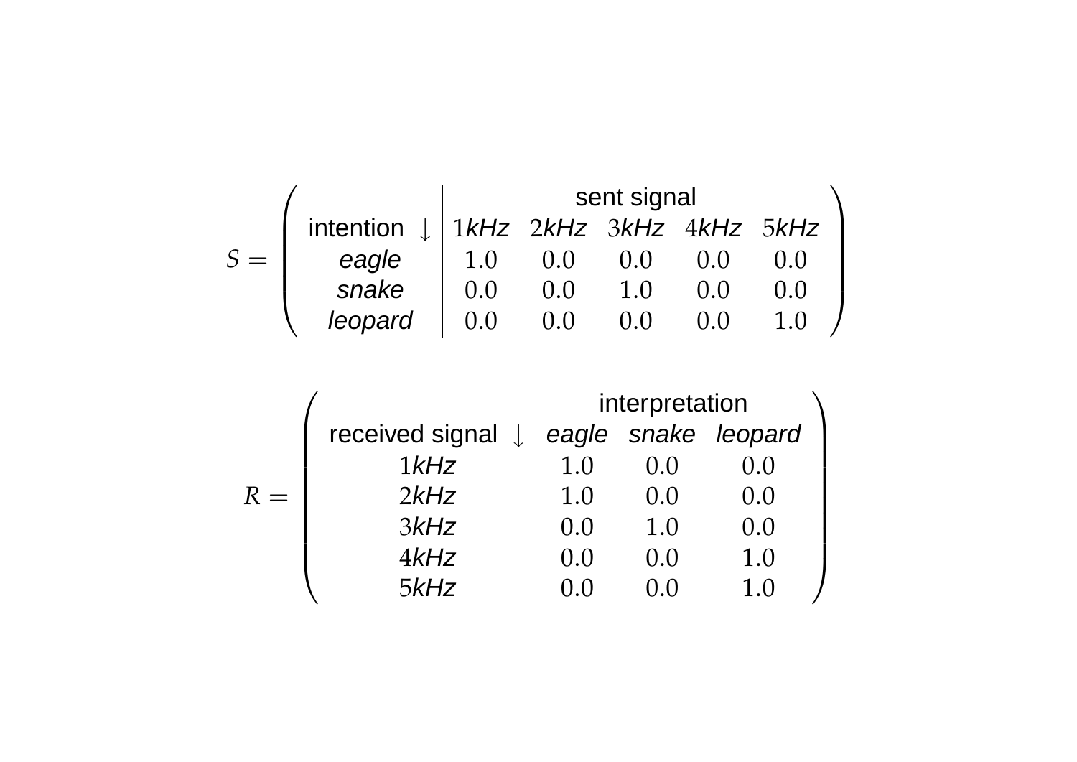|       |           | sent signal |                          |       |  |  |  |
|-------|-----------|-------------|--------------------------|-------|--|--|--|
|       | intention |             | 1kHz 2kHz 3kHz 4kHz 5kHz |       |  |  |  |
| $S =$ | eagle     | 1.0         | (0.0)                    | (0.0) |  |  |  |
|       | snake     | (1.0)       | (1.1)                    | 1.0   |  |  |  |
|       | leopard   |             |                          |       |  |  |  |

|       |                 | interpretation |        |                     |  |  |
|-------|-----------------|----------------|--------|---------------------|--|--|
|       | received signal |                |        | eagle snake leopard |  |  |
|       | $1$ $kHz$       | 1.0            | (0, 0) | 0.0                 |  |  |
| $R =$ | 2kHz            | 1.0            | 0.0    | 0.0                 |  |  |
|       | 3kHz            | (0.0)          | 1.0    | 0.0                 |  |  |
|       | $4$ kHz         | (0.0)          | 0.0    | 1.0                 |  |  |
|       | 5kHz            |                |        | $1_{.}0$            |  |  |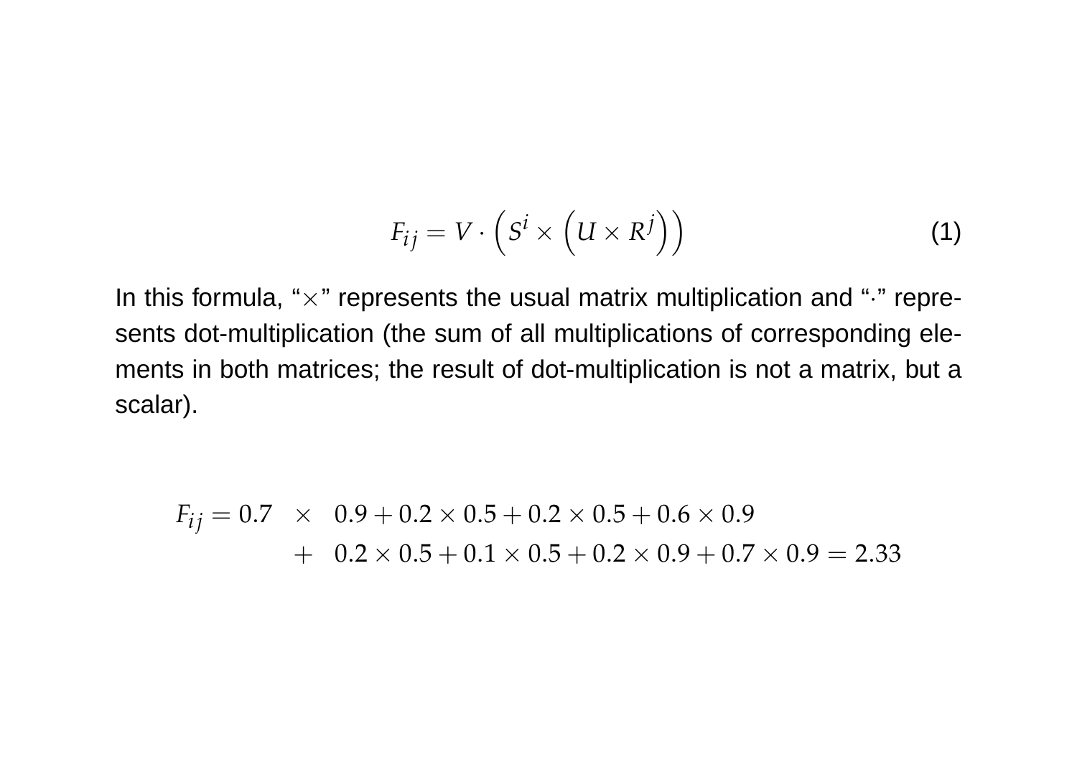$$
F_{ij} = V \cdot \left( S^i \times \left( U \times R^j \right) \right) \tag{1}
$$

In this formula, " $\times$ " represents the usual matrix multiplication and " $\cdot$ " represents dot-multiplication (the sum of all multiplications of corresponding elements in both matrices; the result of dot-multiplication is not a matrix, but a scalar).

$$
F_{ij} = 0.7 \times 0.9 + 0.2 \times 0.5 + 0.2 \times 0.5 + 0.6 \times 0.9
$$
  
+ 0.2 \times 0.5 + 0.1 \times 0.5 + 0.2 \times 0.9 + 0.7 \times 0.9 = 2.33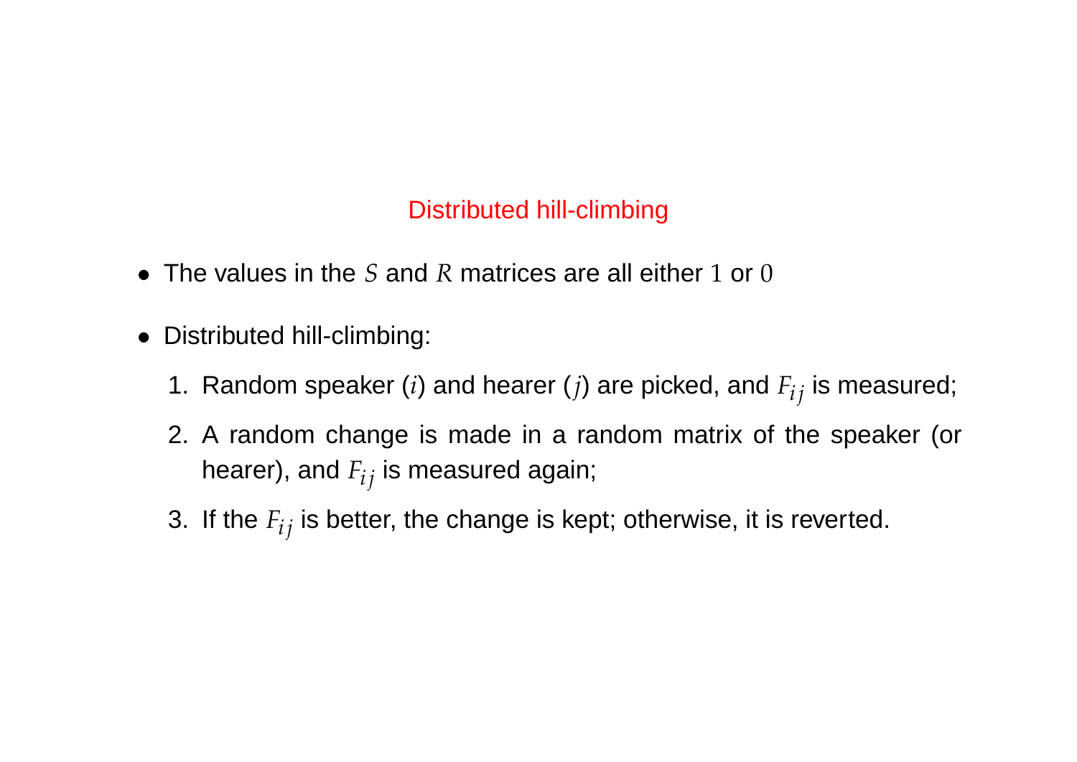#### Distributed hill-climbing

- The values in the *S* and *R* matrices are all either 1 or 0
- Distributed hill-climbing:
	- 1. Random speaker  $(i)$  and hearer  $(j)$  are picked, and  $F_{ij}$  is measured;
	- 2. A random change is made in a random matrix of the speaker (or hearer), and  $F_{ij}$  is measured again;
	- 3. If the  $F_{ij}$  is better, the change is kept; otherwise, it is reverted.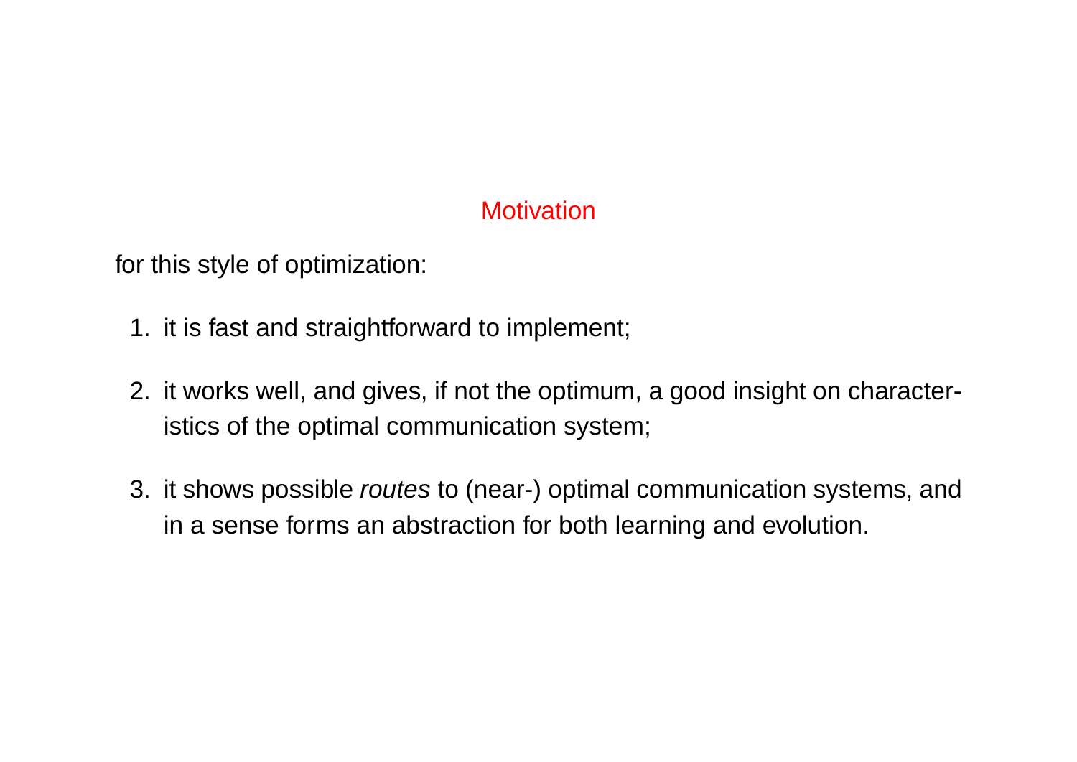#### **Motivation**

for this style of optimization:

- 1. it is fast and straightforward to implement;
- 2. it works well, and gives, if not the optimum, a good insight on characteristics of the optimal communication system;
- 3. it shows possible *routes* to (near-) optimal communication systems, and in a sense forms an abstraction for both learning and evolution.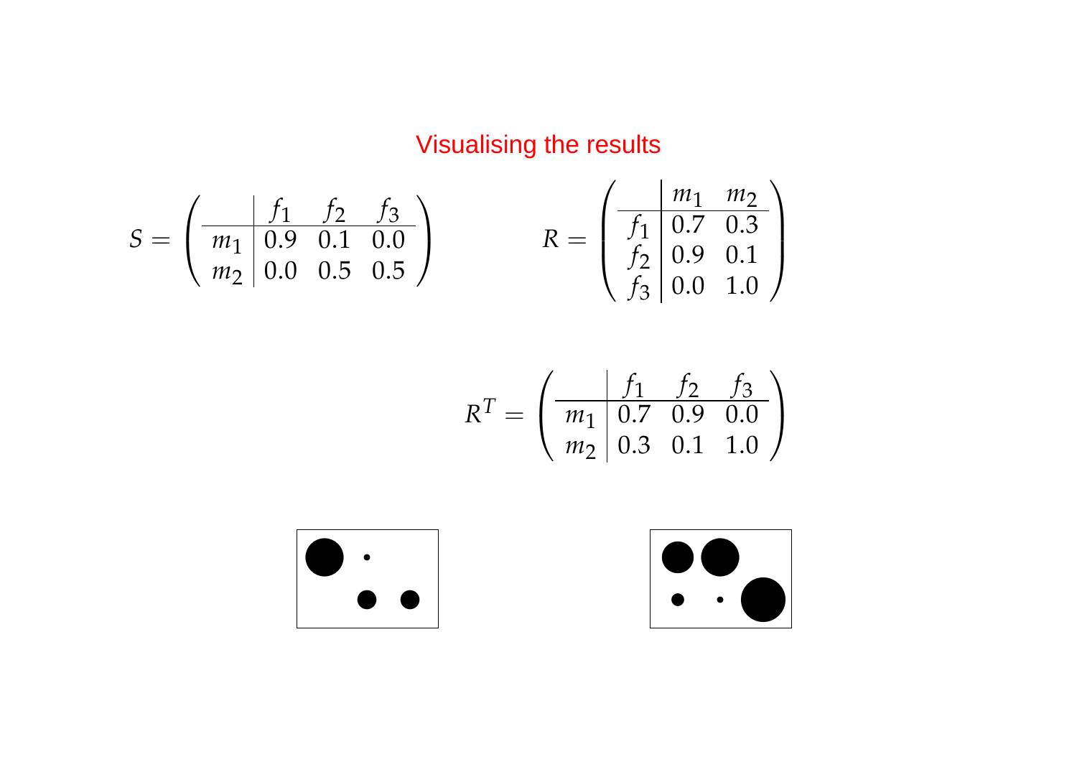## Visualising the results

$$
S = \begin{pmatrix} f_1 & f_2 & f_3 \\ m_1 & 0.9 & 0.1 & 0.0 \\ m_2 & 0.0 & 0.5 & 0.5 \end{pmatrix} \qquad R = \begin{pmatrix} \frac{m_1 & m_2}{f_1} & 0.7 & 0.3 \\ f_2 & 0.9 & 0.1 \\ f_3 & 0.0 & 1.0 \end{pmatrix}
$$

$$
R^{T} = \begin{pmatrix} f_1 & f_2 & f_3 \\ m_1 & 0.7 & 0.9 & 0.0 \\ m_2 & 0.3 & 0.1 & 1.0 \end{pmatrix}
$$



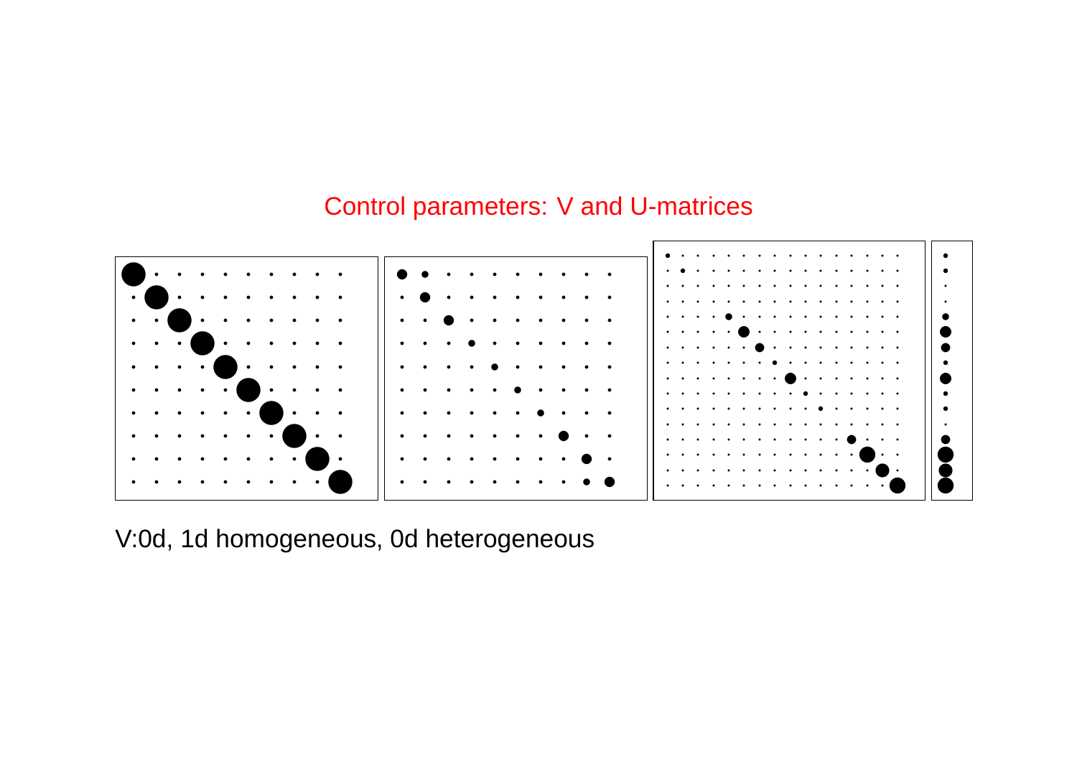#### **Control parameters: V and U-matrices**



V:0d, 1d homogeneous, 0d heterogeneous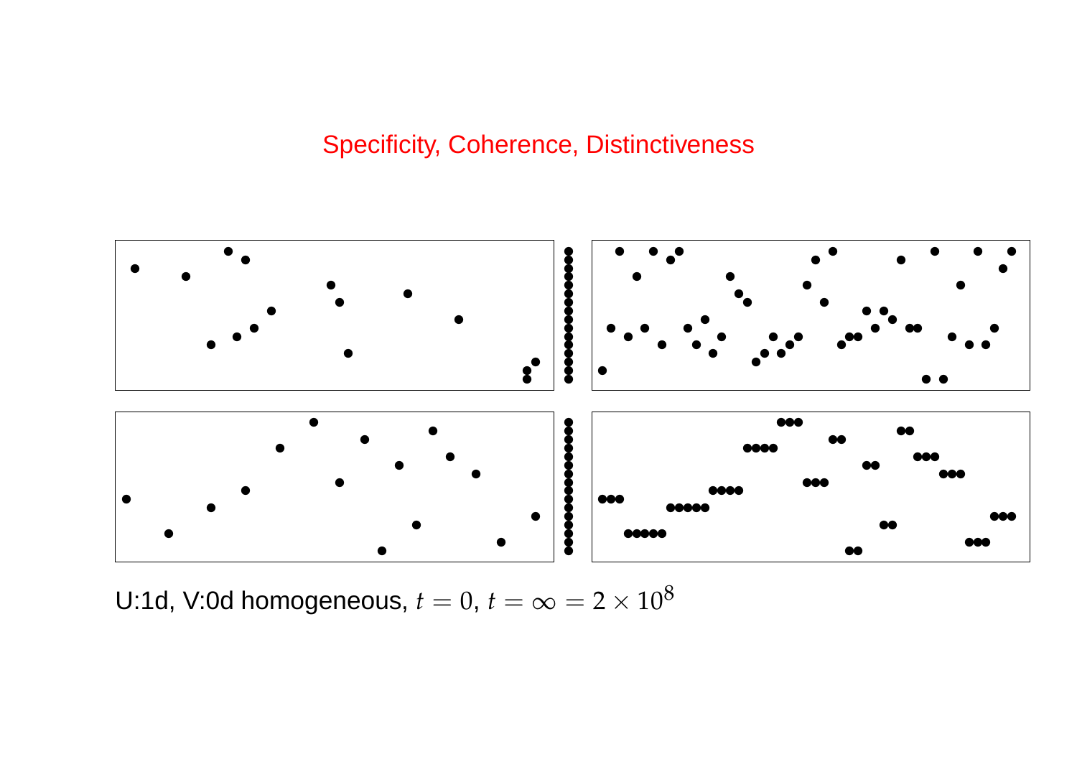## **Specificity, Coherence, Distinctiveness**



U:1d, V:0d homogeneous,  $t = 0$ ,  $t = \infty = 2 \times 10^8$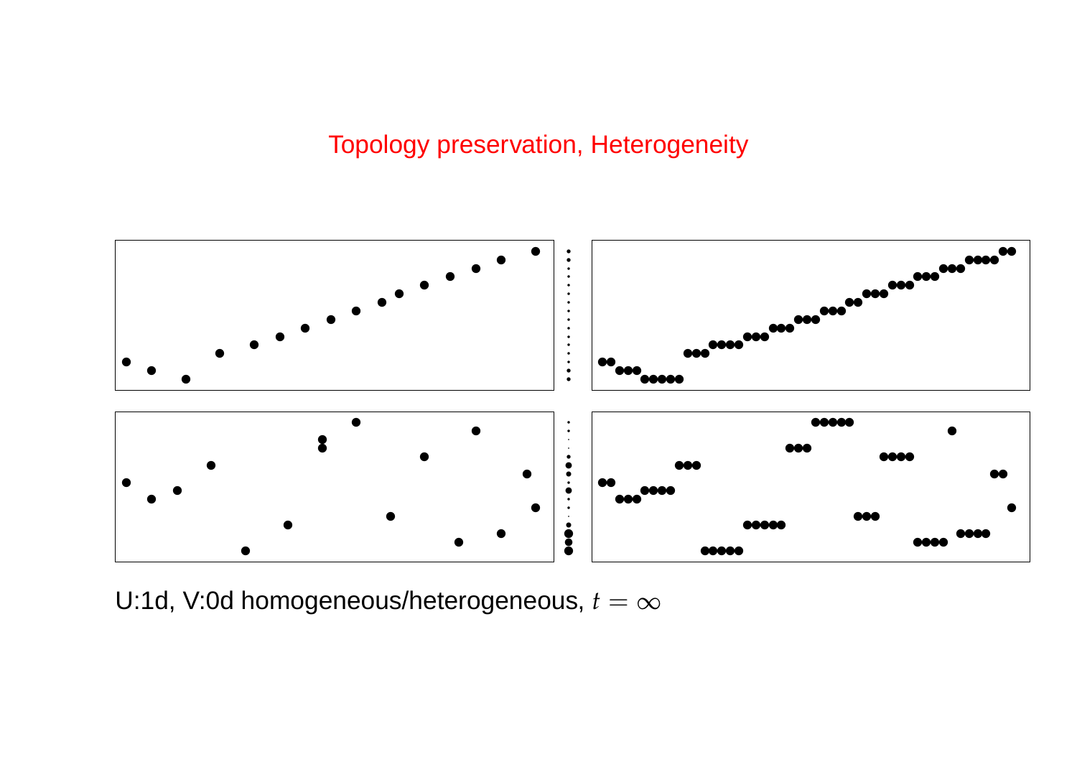#### Topology preservation, Heterogeneity



U:1d, V:0d homogeneous/heterogeneous, *<sup>t</sup>* <sup>=</sup> <sup>∞</sup>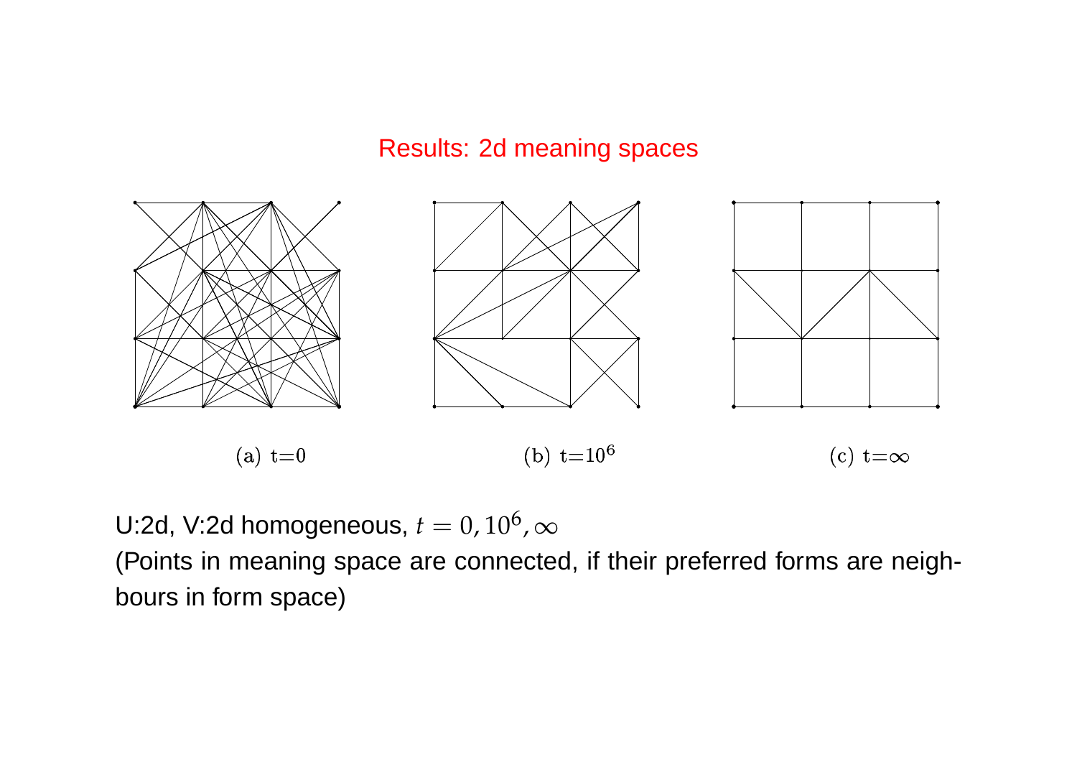#### Results: 2d meaning spaces



U:2d, V:2d homogeneous,  $t=0$ ,  $10^6$ ,  $\infty$ (Points in meaning space are connected, if their preferred forms are neighbours in form space)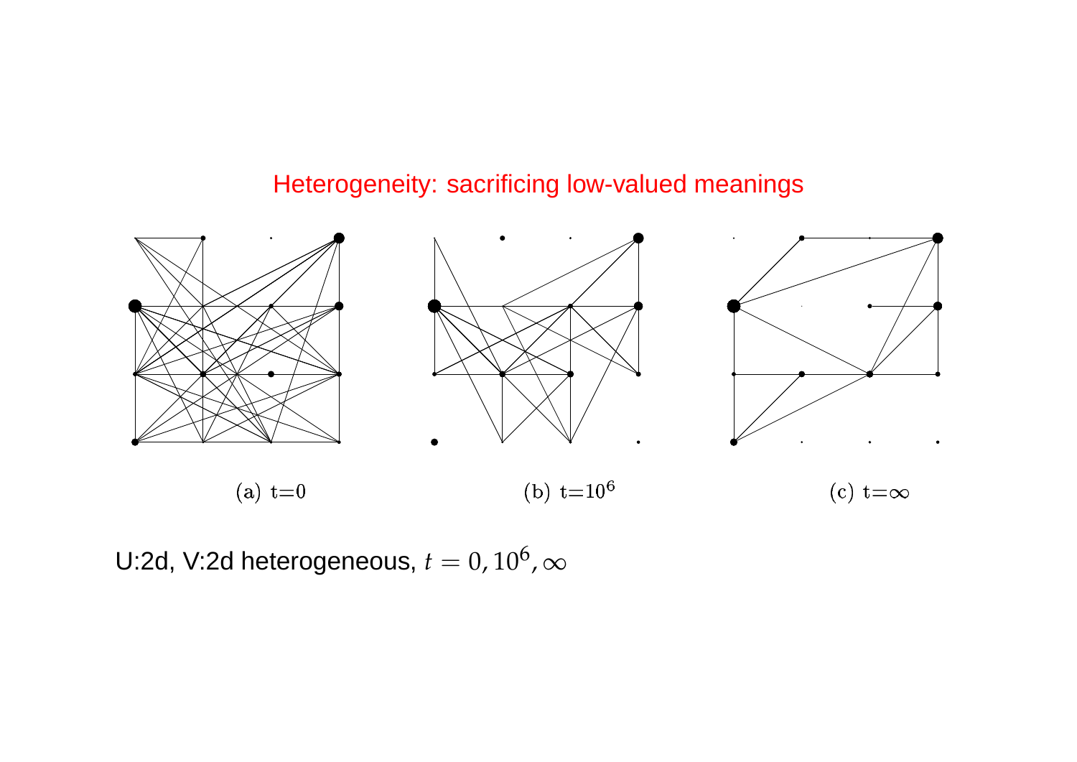#### Heterogeneity: sacrificing low-valued meanings



U:2d, V:2d heterogeneous,  $t=0$ ,  $10^6$ ,  $\infty$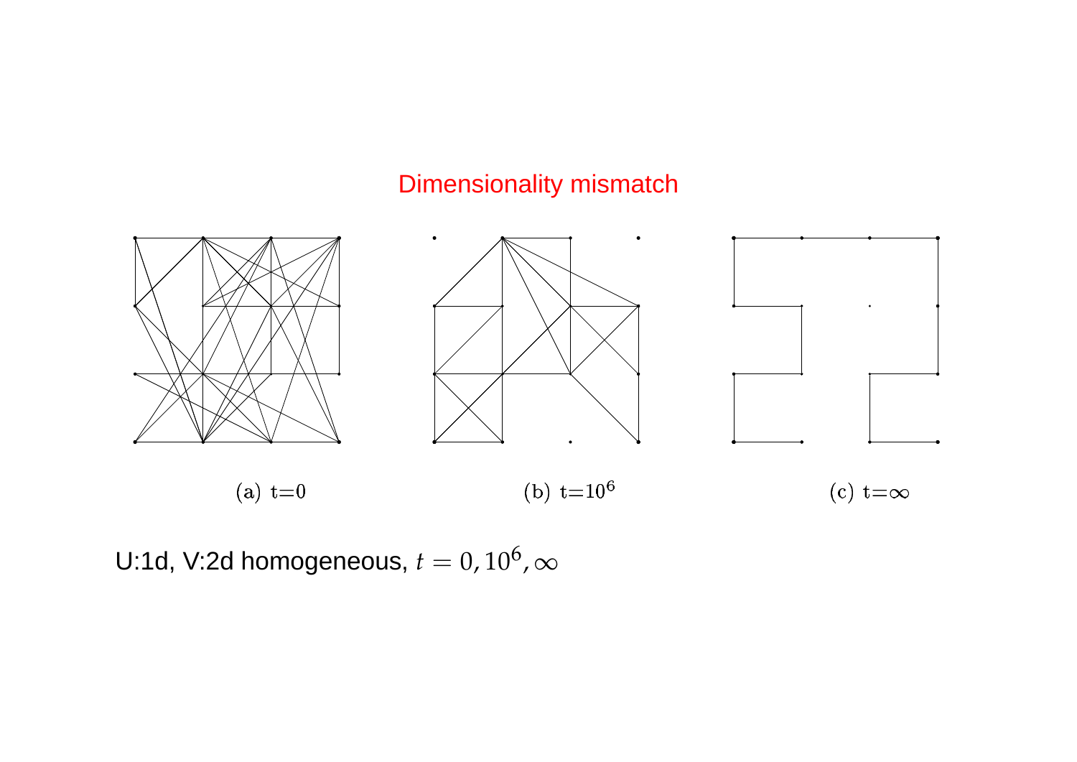## Dimensionality mismatch



U:1d, V:2d homogeneous,  $t=0$ ,  $10^6$ ,  $\infty$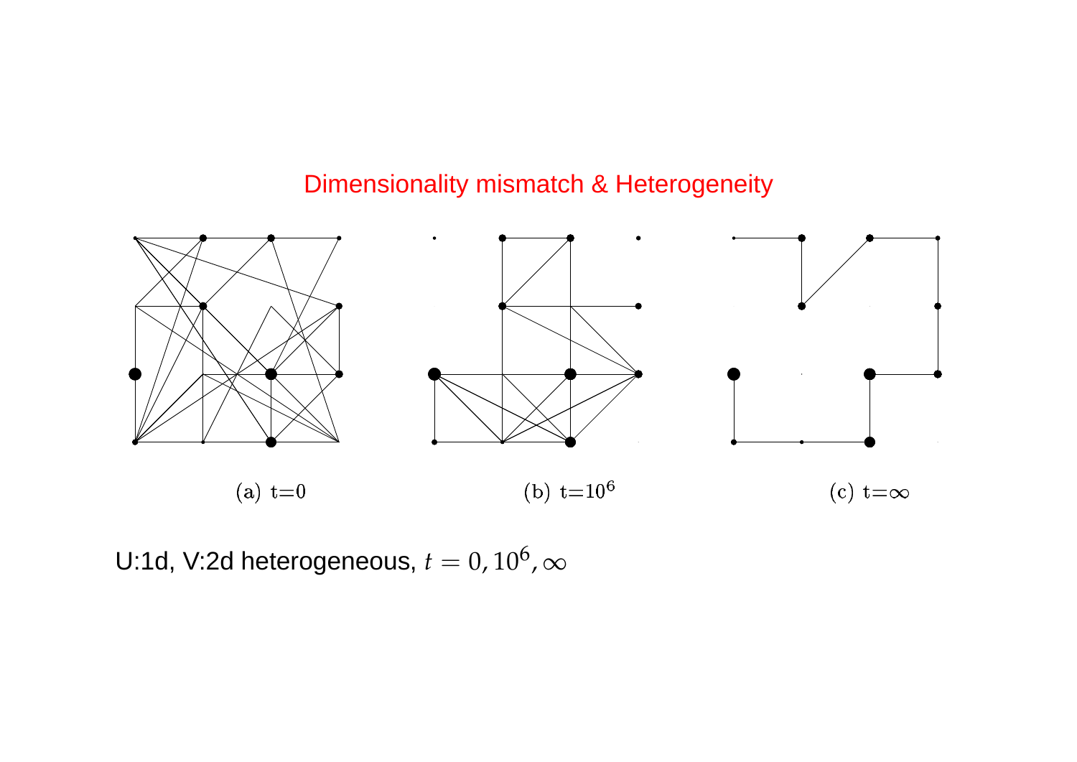#### Dimensionality mismatch & Heterogeneity



U:1d, V:2d heterogeneous,  $t=0$ ,  $10^6$ ,  $\infty$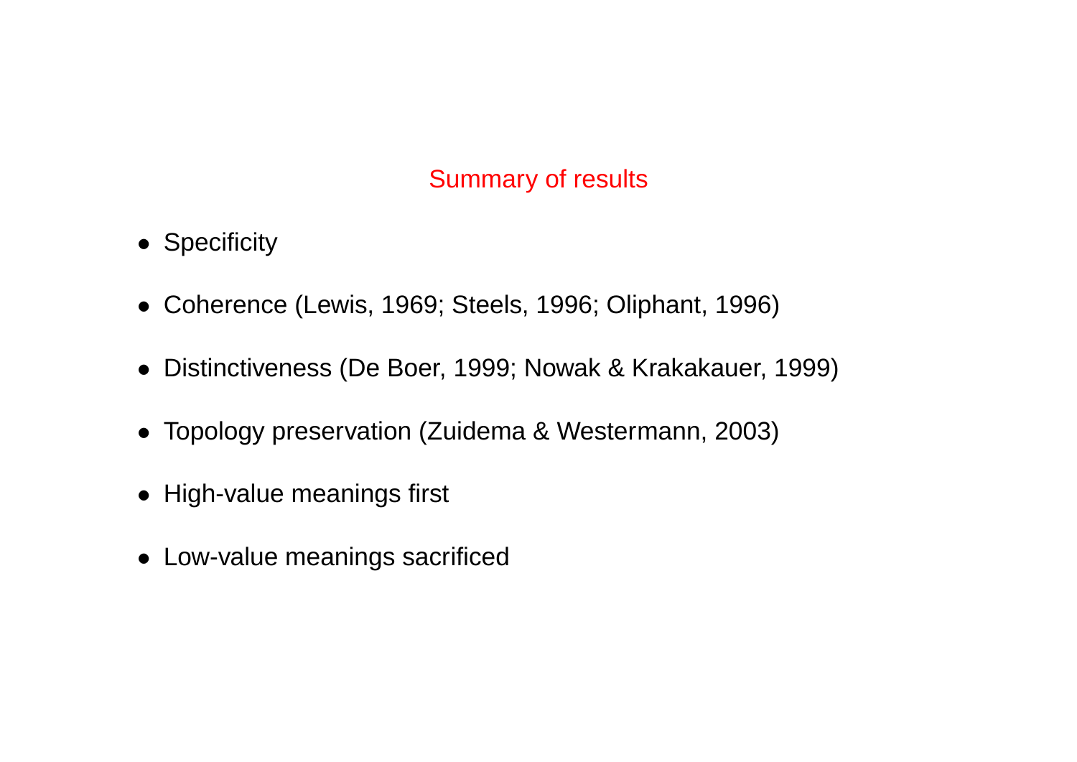#### Summary of results

- Specificity
- Coherence (Lewis, 1969; Steels, 1996; Oliphant, 1996)
- Distinctiveness (De Boer, 1999; Nowak & Krakakauer, 1999)
- Topology preservation (Zuidema & Westermann, 2003)
- High-value meanings first
- Low-value meanings sacrificed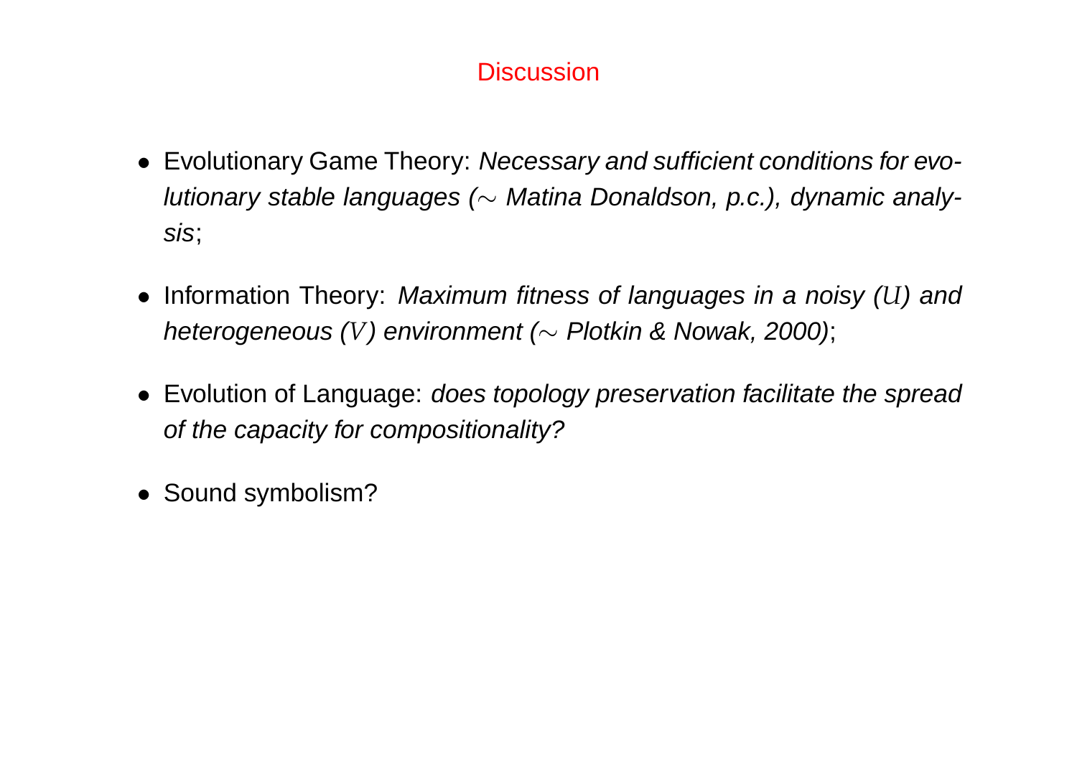#### **Discussion**

- Evolutionary Game Theory: Necessary and sufficient conditions for evolutionary stable languages ( $\sim$  Matina Donaldson, p.c.), dynamic analysis;
- Information Theory: Maximum fitness of languages in a noisy (*U*) and heterogeneous (*V*) environment (∼ Plotkin & Nowak, 2000);
- Evolution of Language: does topology preservation facilitate the spread of the capacity for compositionality?
- Sound symbolism?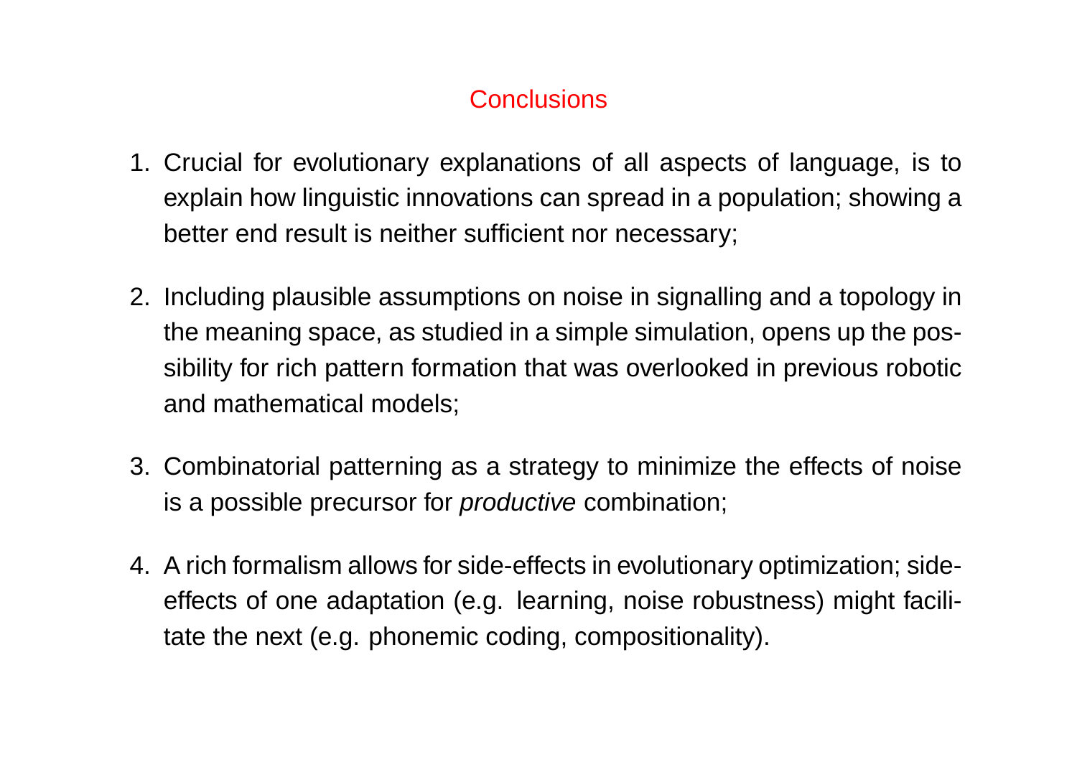## **Conclusions**

- 1. Crucial for evolutionary explanations of all aspects of language, is to explain how linguistic innovations can spread in a population; showing a better end result is neither sufficient nor necessary;
- 2. Including plausible assumptions on noise in signalling and a topology in the meaning space, as studied in a simple simulation, opens up the possibility for rich pattern formation that was overlooked in previous robotic and mathematical models;
- 3. Combinatorial patterning as a strategy to minimize the effects of noise is a possible precursor for *productive* combination;
- 4. A rich formalism allows for side-effects in evolutionary optimization; sideeffects of one adaptation (e.g. learning, noise robustness) might facilitate the next (e.g. phonemic coding, compositionality).